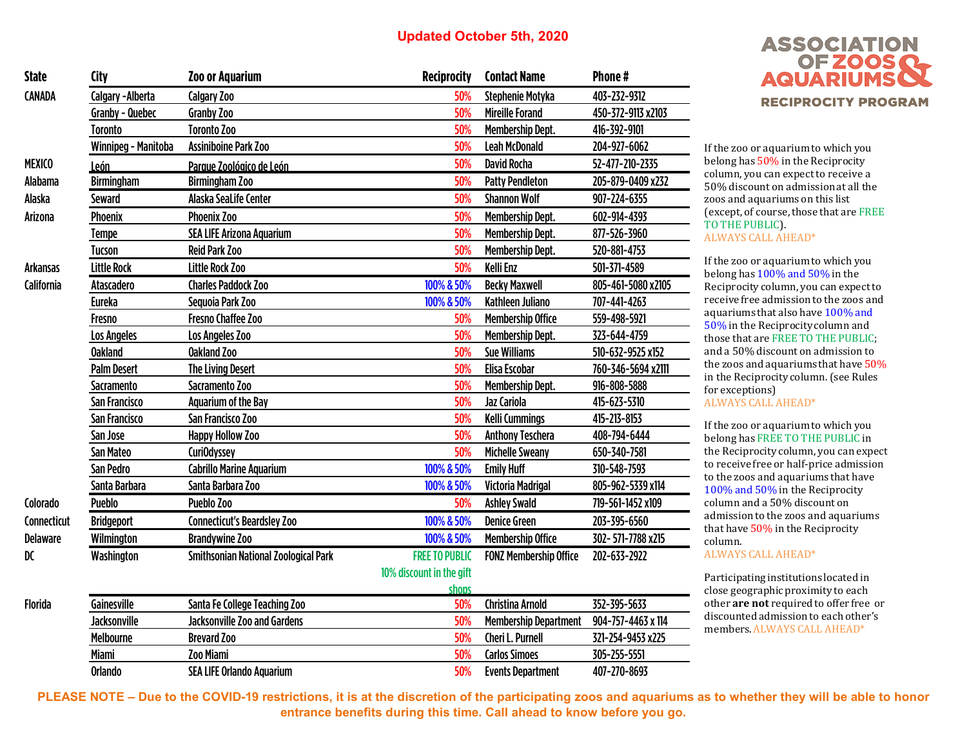| <b>State</b>    | City                | <b>Zoo or Aquarium</b>                      | <b>Reciprocity</b>       | <b>Contact Name</b>           | Phone#             |
|-----------------|---------------------|---------------------------------------------|--------------------------|-------------------------------|--------------------|
| CANADA          | Calgary - Alberta   | Calgary Zoo                                 | 50%                      | Stephenie Motyka              | 403-232-9312       |
|                 | Granby - Quebec     | Granby Zoo<br>50%                           |                          | <b>Mireille Forand</b>        | 450-372-9113 x2103 |
|                 | <b>Toronto</b>      | <b>Toronto Zoo</b>                          | 50%                      | <b>Membership Dept.</b>       | 416-392-9101       |
|                 | Winnipeg - Manitoba | <b>Assiniboine Park Zoo</b>                 | 50%                      | <b>Leah McDonald</b>          | 204-927-6062       |
| <b>MEXICO</b>   | León                | Parque Zoológico de León                    | 50%                      | <b>David Rocha</b>            | 52-477-210-2335    |
| Alabama         | <b>Birmingham</b>   | <b>Birmingham Zoo</b>                       | 50%                      | <b>Patty Pendleton</b>        | 205-879-0409 x232  |
| Alaska          | Seward              | Alaska SeaLife Center                       | 50%                      | <b>Shannon Wolf</b>           | 907-224-6355       |
| Arizona         | Phoenix             | <b>Phoenix Zoo</b>                          | 50%                      | <b>Membership Dept.</b>       | 602-914-4393       |
|                 | Tempe               | <b>SEA LIFE Arizona Aquarium</b>            | 50%                      | <b>Membership Dept.</b>       | 877-526-3960       |
|                 | <b>Tucson</b>       | <b>Reid Park Zoo</b>                        | 50%                      | <b>Membership Dept.</b>       | 520-881-4753       |
| <b>Arkansas</b> | <b>Little Rock</b>  | <b>Little Rock Zoo</b>                      | 50%                      | <b>Kelli Enz</b>              | 501-371-4589       |
| California      | Atascadero          | <b>Charles Paddock Zoo</b>                  | 100% & 50%               | <b>Becky Maxwell</b>          | 805-461-5080 x2105 |
|                 | <b>Eureka</b>       | Sequoia Park Zoo                            | 100% & 50%               | Kathleen Juliano              | 707-441-4263       |
|                 | Fresno              | Fresno Chaffee Zoo                          | 50%                      | <b>Membership Office</b>      | 559-498-5921       |
|                 | Los Angeles         | Los Angeles Zoo                             | 50%                      | <b>Membership Dept.</b>       | 323-644-4759       |
|                 | <b>Oakland</b>      | <b>Oakland Zoo</b>                          | 50%                      | <b>Sue Williams</b>           | 510-632-9525 x152  |
|                 | <b>Palm Desert</b>  | <b>The Living Desert</b>                    | 50%                      | <b>Elisa Escobar</b>          | 760-346-5694 x2111 |
|                 | <b>Sacramento</b>   | Sacramento Zoo                              | 50%                      | <b>Membership Dept.</b>       | 916-808-5888       |
|                 | San Francisco       | <b>Aquarium of the Bay</b>                  | 50%                      | Jaz Cariola                   | 415-623-5310       |
|                 | San Francisco       | San Francisco Zoo                           | 50%                      | <b>Kelli Cummings</b>         | 415-213-8153       |
|                 | San Jose            | <b>Happy Hollow Zoo</b>                     | 50%                      | <b>Anthony Teschera</b>       | 408-794-6444       |
|                 | San Mateo           | CuriOdyssey                                 | 50%                      | <b>Michelle Sweany</b>        | 650-340-7581       |
|                 | San Pedro           | <b>Cabrillo Marine Aquarium</b>             | 100% & 50%               | <b>Emily Huff</b>             | 310-548-7593       |
|                 | Santa Barbara       | Santa Barbara Zoo                           | 100% & 50%               | <b>Victoria Madrigal</b>      | 805-962-5339 x114  |
| Colorado        | <b>Pueblo</b>       | Pueblo Zoo                                  | 50%                      | <b>Ashley Swald</b>           | 719-561-1452 x109  |
| Connecticut     | <b>Bridgeport</b>   | <b>Connecticut's Beardsley Zoo</b>          | 100% & 50%               | <b>Denice Green</b>           | 203-395-6560       |
| <b>Delaware</b> | Wilmington          | <b>Brandywine Zoo</b>                       | 100% & 50%               | <b>Membership Office</b>      | 302-571-7788 x215  |
| DC              | Washington          | <b>Smithsonian National Zoological Park</b> | <b>FREE TO PUBLIC</b>    | <b>FONZ Membership Office</b> | 202-633-2922       |
|                 |                     |                                             | 10% discount in the gift |                               |                    |
|                 |                     |                                             | shops                    |                               |                    |
| <b>Florida</b>  | Gainesville         | Santa Fe College Teaching Zoo               | 50%                      | <b>Christina Arnold</b>       | 352-395-5633       |
|                 | <b>Jacksonville</b> | <b>Jacksonville Zoo and Gardens</b>         | 50%                      | <b>Membership Department</b>  | 904-757-4463 x 114 |
|                 | Melbourne           | <b>Brevard Zoo</b>                          | 50%                      | Cheri L. Purnell              | 321-254-9453 x225  |
|                 | <b>Miami</b>        | Zoo Miami                                   | 50%                      | <b>Carlos Simoes</b>          | 305-255-5551       |
|                 | Orlando             | <b>SEA LIFE Orlando Aquarium</b>            | 50%                      | <b>Events Department</b>      | 407-270-8693       |



If the zoo or aquarium to which you belong has 50% in the Reciprocity column, you can expect to receive a 50% discount on admission at all the zoos and aquariums on this list (except, of course, those that are FREE TO THE PUBLIC). ALWAYS CALL AHEAD\*

If the zoo or aquarium to which you belong has 100% and 50% in the Reciprocity column, you can expect to receive free admission to the zoos and aquariums that also have 100% and 50% in the Reciprocity column and those that are FREE TO THE PUBLIC; and a 50% discount on admission to the zoos and aquariums that have 50% in the Reciprocity column. (see Rules for exceptions)

ALWAYS CALL AHEAD\*

If the zoo or aquarium to which you belong has FREE TO THE PUBLIC in the Reciprocity column, you can expect to receive free or half-price admission to the zoos and aquariums that have 100% and 50% in the Reciprocity column and a 50% discount on admission to the zoos and aquariums that have 50% in the Reciprocity column.

ALWAYS CALL AHEAD\*

Participating institutions located in close geographic proximity to each other **are not** required to offer free or discounted admission to each other's members. ALWAYS CALL AHEAD\*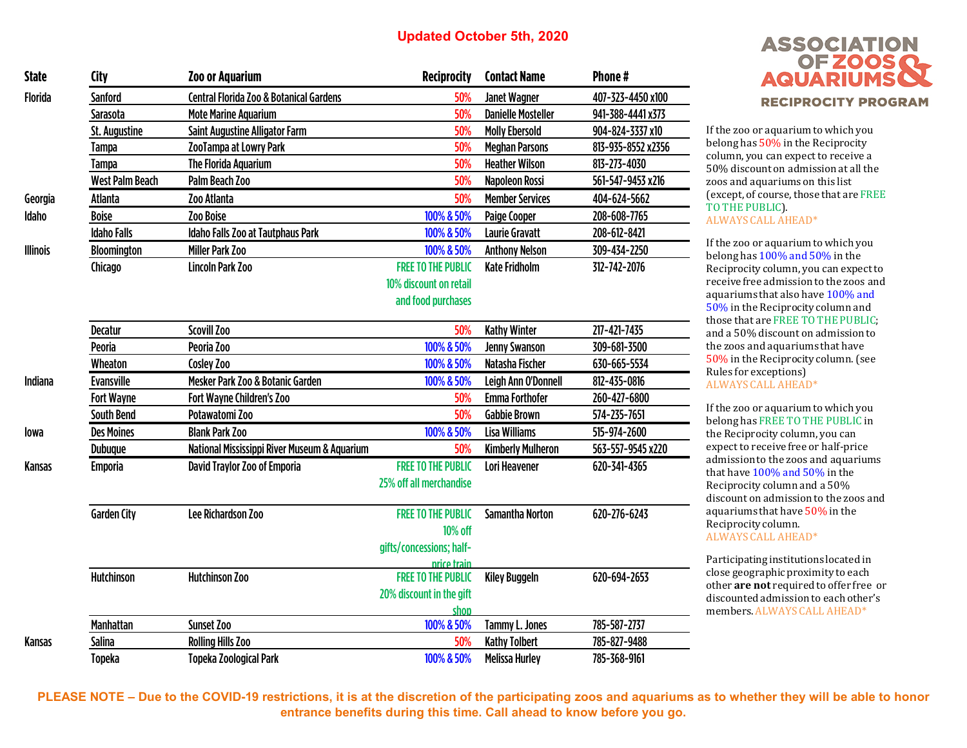| <b>State</b>    | City                   | <b>Zoo or Aquarium</b>                             | <b>Reciprocity</b>        | <b>Contact Name</b>       | Phone#             |
|-----------------|------------------------|----------------------------------------------------|---------------------------|---------------------------|--------------------|
| Florida         | <b>Sanford</b>         | <b>Central Florida Zoo &amp; Botanical Gardens</b> | 50%                       | <b>Janet Wagner</b>       | 407-323-4450 x100  |
|                 | Sarasota               | <b>Mote Marine Aquarium</b>                        | 50%                       | <b>Danielle Mosteller</b> | 941-388-4441x373   |
|                 | St. Augustine          | <b>Saint Augustine Alligator Farm</b>              | 50%                       | <b>Molly Ebersold</b>     | 904-824-3337 x10   |
|                 | <b>Tampa</b>           | ZooTampa at Lowry Park                             | 50%                       | <b>Meghan Parsons</b>     | 813-935-8552 x2356 |
|                 | <b>Tampa</b>           | <b>The Florida Aquarium</b>                        | 50%                       | <b>Heather Wilson</b>     | 813-273-4030       |
|                 | <b>West Palm Beach</b> | Palm Beach Zoo                                     | 50%                       | Napoleon Rossi            | 561-547-9453 x216  |
| Georgia         | Atlanta                | Zoo Atlanta                                        | 50%                       | <b>Member Services</b>    | 404-624-5662       |
| Idaho           | <b>Boise</b>           | Zoo Boise                                          | 100% & 50%                | Paige Cooper              | 208-608-7765       |
|                 | <b>Idaho Falls</b>     | Idaho Falls Zoo at Tautphaus Park                  | 100% & 50%                | <b>Laurie Gravatt</b>     | 208-612-8421       |
| <b>Illinois</b> | <b>Bloomington</b>     | <b>Miller Park Zoo</b>                             | 100% & 50%                | <b>Anthony Nelson</b>     | 309-434-2250       |
|                 | Chicago                | <b>Lincoln Park Zoo</b>                            | <b>FREE TO THE PUBLIC</b> | <b>Kate Fridholm</b>      | 312-742-2076       |
|                 |                        |                                                    | 10% discount on retail    |                           |                    |
|                 |                        |                                                    | and food purchases        |                           |                    |
|                 |                        |                                                    |                           |                           |                    |
|                 | <b>Decatur</b>         | Scovill Zoo                                        | 50%                       | <b>Kathy Winter</b>       | 217-421-7435       |
|                 | Peoria                 | Peoria Zoo                                         | 100% & 50%                | <b>Jenny Swanson</b>      | 309-681-3500       |
|                 | Wheaton                | Cosley Zoo                                         | 100% & 50%                | Natasha Fischer           | 630-665-5534       |
| Indiana         | <b>Evansville</b>      | Mesker Park Zoo & Botanic Garden                   | 100% & 50%                | Leigh Ann O'Donnell       | 812-435-0816       |
|                 | <b>Fort Wayne</b>      | Fort Wayne Children's Zoo                          | 50%                       | <b>Emma Forthofer</b>     | 260-427-6800       |
|                 | <b>South Bend</b>      | Potawatomi Zoo                                     | 50%                       | <b>Gabbie Brown</b>       | 574-235-7651       |
| lowa            | <b>Des Moines</b>      | <b>Blank Park Zoo</b>                              | 100% & 50%                | <b>Lisa Williams</b>      | 515-974-2600       |
|                 | <b>Dubuque</b>         | National Mississippi River Museum & Aquarium       | 50%                       | <b>Kimberly Mulheron</b>  | 563-557-9545 x220  |
| Kansas          | <b>Emporia</b>         | David Traylor Zoo of Emporia                       | <b>FREE TO THE PUBLIC</b> | Lori Heavener             | 620-341-4365       |
|                 |                        |                                                    | 25% off all merchandise   |                           |                    |
|                 | <b>Garden City</b>     | Lee Richardson Zoo                                 | <b>FREE TO THE PUBLIC</b> | <b>Samantha Norton</b>    | 620-276-6243       |
|                 |                        |                                                    | 10% off                   |                           |                    |
|                 |                        |                                                    | gifts/concessions; half-  |                           |                    |
|                 |                        |                                                    | price train               |                           |                    |
|                 | <b>Hutchinson</b>      | <b>Hutchinson Zoo</b>                              | <b>FREE TO THE PUBLIC</b> | <b>Kiley Buggeln</b>      | 620-694-2653       |
|                 |                        |                                                    | 20% discount in the gift  |                           |                    |
|                 |                        |                                                    | shop                      |                           |                    |
|                 | <b>Manhattan</b>       | Sunset Zoo                                         | 100% & 50%                | <b>Tammy L. Jones</b>     | 785-587-2737       |
| Kansas          | Salina                 | <b>Rolling Hills Zoo</b>                           | 50%                       | <b>Kathy Tolbert</b>      | 785-827-9488       |
|                 | <b>Topeka</b>          | <b>Topeka Zoological Park</b>                      | 100% & 50%                | <b>Melissa Hurley</b>     | 785-368-9161       |



If the zoo or aquarium to which you belong has 50% in the Reciprocity column, you can expect to receive a 50% discount on admission at all the zoos and aquariums on this list (except, of course, those that are FREE TO THE PUBLIC). ALWAYS CALL AHEAD\*

If the zoo or aquarium to which you belong has 100% and 50% in the Reciprocity column, you can expect to receive free admission to the zoos and aquariums that also have 100% and 50% in the Reciprocity column and those that are FREE TO THE PUBLIC; and a 50% discount on admission to the zoos and aquariums that have 50% in the Reciprocity column. (see Rules for exceptions) ALWAYS CALL AHEAD\*

If the zoo or aquarium to which you belong has FREE TO THE PUBLIC in the Reciprocity column, you can expect to receive free or half-price admission to the zoos and aquariums that have 100% and 50% in the Reciprocity column and a 50% discount on admission to the zoos and aquariums that have 50% in the Reciprocity column. ALWAYS CALL AHEAD\*

Participating institutions located in close geographic proximity to each other **are not** required to offer free or discounted admission to each other's members. ALWAYS CALL AHEAD\*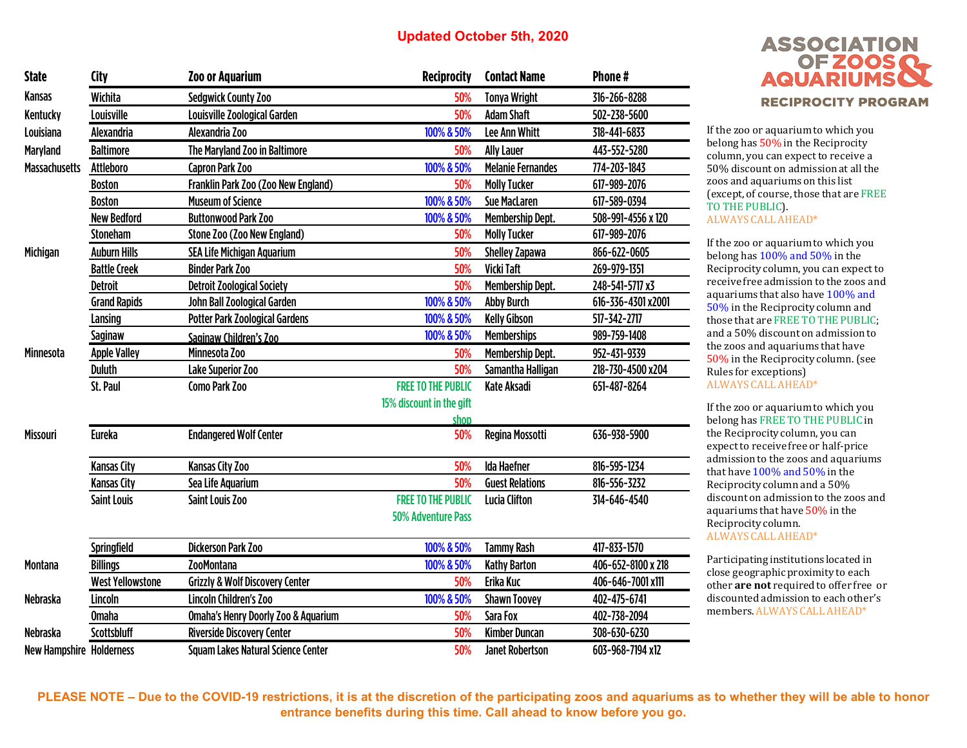| <b>State</b>                    | <b>City</b>             | <b>Zoo or Aquarium</b>                         | <b>Reciprocity</b>        | <b>Contact Name</b>      | Phone#             |
|---------------------------------|-------------------------|------------------------------------------------|---------------------------|--------------------------|--------------------|
| <b>Kansas</b>                   | Wichita                 | <b>Sedgwick County Zoo</b>                     | 50%                       | <b>Tonya Wright</b>      | 316-266-8288       |
| Kentucky                        | Louisville              | Louisville Zoological Garden                   | 50%                       | <b>Adam Shaft</b>        | 502-238-5600       |
| Louisiana                       | Alexandria              | Alexandria Zoo                                 | 100% & 50%                | <b>Lee Ann Whitt</b>     | 318-441-6833       |
| <b>Maryland</b>                 | <b>Baltimore</b>        | The Maryland Zoo in Baltimore                  | 50%                       | <b>Ally Lauer</b>        | 443-552-5280       |
| <b>Massachusetts</b>            | Attleboro               | <b>Capron Park Zoo</b>                         | 100% & 50%                | <b>Melanie Fernandes</b> | 774-203-1843       |
|                                 | <b>Boston</b>           | Franklin Park Zoo (Zoo New England)            | 50%                       | <b>Molly Tucker</b>      | 617-989-2076       |
|                                 | <b>Boston</b>           | <b>Museum of Science</b>                       | 100% & 50%                | <b>Sue MacLaren</b>      | 617-589-0394       |
|                                 | <b>New Bedford</b>      | <b>Buttonwood Park Zoo</b>                     | 100% & 50%                | <b>Membership Dept.</b>  | 508-991-4556 x 120 |
|                                 | <b>Stoneham</b>         | Stone Zoo (Zoo New England)                    | 50%                       | <b>Molly Tucker</b>      | 617-989-2076       |
| Michigan                        | <b>Auburn Hills</b>     | <b>SEA Life Michigan Aquarium</b>              | 50%                       | <b>Shelley Zapawa</b>    | 866-622-0605       |
|                                 | <b>Battle Creek</b>     | <b>Binder Park Zoo</b>                         | 50%                       | Vicki Taft               | 269-979-1351       |
|                                 | <b>Detroit</b>          | <b>Detroit Zoological Society</b>              | 50%                       | <b>Membership Dept.</b>  | 248-541-5717 x3    |
|                                 | <b>Grand Rapids</b>     | John Ball Zoological Garden                    | 100% & 50%                | <b>Abby Burch</b>        | 616-336-4301 x2001 |
|                                 | Lansing                 | <b>Potter Park Zoological Gardens</b>          | 100% & 50%                | <b>Kelly Gibson</b>      | 517-342-2717       |
|                                 | Saginaw                 | Saginaw Children's Zoo                         | 100% & 50%                | <b>Memberships</b>       | 989-759-1408       |
| Minnesota                       | <b>Apple Valley</b>     | Minnesota Zoo                                  | 50%                       | <b>Membership Dept.</b>  | 952-431-9339       |
|                                 | <b>Duluth</b>           | Lake Superior Zoo                              | 50%                       | Samantha Halligan        | 218-730-4500 x204  |
|                                 | St. Paul                | Como Park Zoo                                  | <b>FREE TO THE PUBLIC</b> | Kate Aksadi              | 651-487-8264       |
|                                 |                         |                                                | 15% discount in the gift  |                          |                    |
|                                 |                         |                                                | shon                      |                          |                    |
| <b>Missouri</b>                 | <b>Eureka</b>           | <b>Endangered Wolf Center</b>                  | 50%                       | Regina Mossotti          | 636-938-5900       |
|                                 | <b>Kansas City</b>      | <b>Kansas City Zoo</b>                         | 50%                       | <b>Ida Haefner</b>       | 816-595-1234       |
|                                 | <b>Kansas City</b>      | Sea Life Aquarium                              | 50%                       | <b>Guest Relations</b>   | 816-556-3232       |
|                                 | <b>Saint Louis</b>      | <b>Saint Louis Zoo</b>                         | <b>FREE TO THE PUBLIC</b> | <b>Lucia Clifton</b>     | 314-646-4540       |
|                                 |                         |                                                | <b>50% Adventure Pass</b> |                          |                    |
|                                 | Springfield             | <b>Dickerson Park Zoo</b>                      | 100% & 50%                | <b>Tammy Rash</b>        | 417-833-1570       |
| <b>Montana</b>                  | <b>Billings</b>         | <b>ZooMontana</b>                              | 100% & 50%                | <b>Kathy Barton</b>      | 406-652-8100 x 218 |
|                                 | <b>West Yellowstone</b> | <b>Grizzly &amp; Wolf Discovery Center</b>     | 50%                       | Erika Kuc                | 406-646-7001 x111  |
| Nebraska                        | Lincoln                 | <b>Lincoln Children's Zoo</b>                  | 100% & 50%                | <b>Shawn Toovey</b>      | 402-475-6741       |
|                                 | <b>Omaha</b>            | <b>Omaha's Henry Doorly Zoo &amp; Aquarium</b> | 50%                       | Sara Fox                 | 402-738-2094       |
| <b>Nebraska</b>                 | Scottsbluff             | <b>Riverside Discovery Center</b>              | 50%                       | <b>Kimber Duncan</b>     | 308-630-6230       |
| <b>New Hampshire Holderness</b> |                         | <b>Squam Lakes Natural Science Center</b>      | 50%                       | <b>Janet Robertson</b>   | 603-968-7194 x12   |

# **ASSOCIATION** OF ZOOS **AQUARIU RECIPROCITY PROGRAM**

If the zoo or aquarium to which you belong has 50% in the Reciprocity column, you can expect to receive a 50% discount on admission at all the zoos and aquariums on this list (except, of course, those that are FREE TO THE PUBLIC). ALWAYS CALL AHEAD\*

If the zoo or aquarium to which you belong has 100% and 50% in the Reciprocity column, you can expect to receive free admission to the zoos and aquariums that also have 100% and 50% in the Reciprocity column and those that are FREE TO THE PUBLIC; and a 50% discount on admission to the zoos and aquariums that have 50% in the Reciprocity column. (see Rules for exceptions) ALWAYS CALL AHEAD\*

If the zoo or aquarium to which you belong has FREE TO THE PUBLIC in the Reciprocity column, you can expect to receive free or half-price admission to the zoos and aquariums that have 100% and 50% in the Reciprocity column and a 50% discount on admission to the zoos and aquariums that have 50% in the Reciprocity column. ALWAYS CALL AHEAD\*

Participating institutions located in close geographic proximity to each other **are not** required to offer free or discounted admission to each other's members. ALWAYS CALL AHEAD\*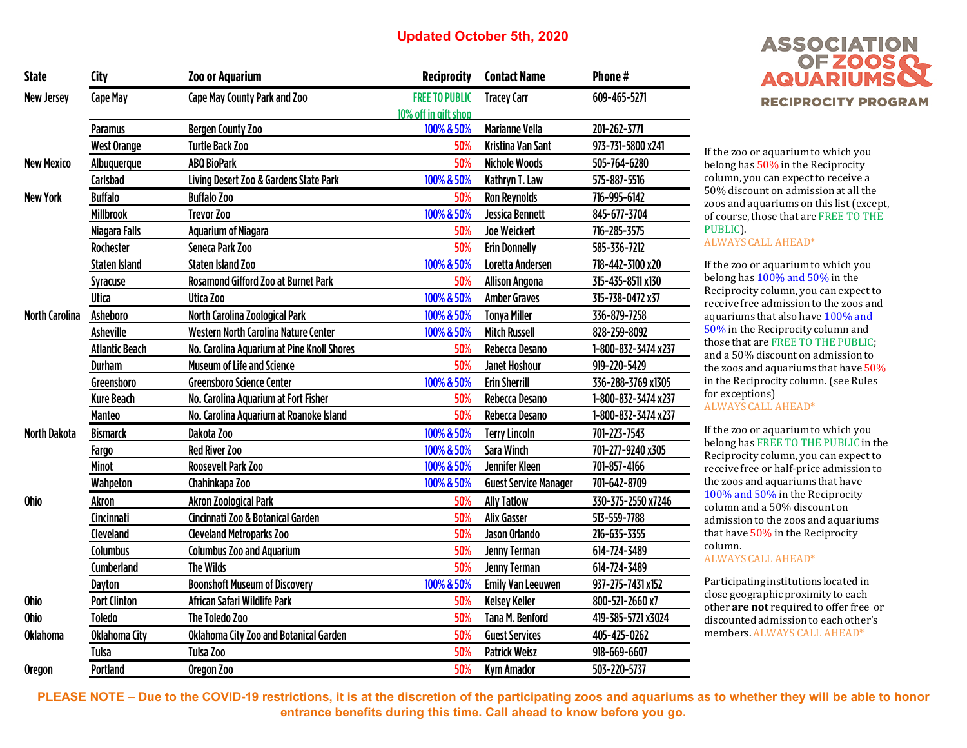| <b>State</b>          | City                  | <b>Zoo or Aquarium</b>                     | <b>Reciprocity</b>    | <b>Contact Name</b>          | Phone#              |
|-----------------------|-----------------------|--------------------------------------------|-----------------------|------------------------------|---------------------|
| <b>New Jersey</b>     | <b>Cape May</b>       | Cape May County Park and Zoo               | <b>FREE TO PUBLIC</b> | <b>Tracey Carr</b>           | 609-465-5271        |
|                       |                       |                                            | 10% off in gift shop  |                              |                     |
|                       | <b>Paramus</b>        | <b>Bergen County Zoo</b>                   | 100% & 50%            | <b>Marianne Vella</b>        | 201-262-3771        |
|                       | <b>West Orange</b>    | <b>Turtle Back Zoo</b>                     | 50%                   | <b>Kristina Van Sant</b>     | 973-731-5800 x241   |
| <b>New Mexico</b>     | Albuquerque           | <b>ABQ BioPark</b>                         | 50%                   | <b>Nichole Woods</b>         | 505-764-6280        |
|                       | Carlsbad              | Living Desert Zoo & Gardens State Park     | 100% & 50%            | Kathryn T. Law               | 575-887-5516        |
| <b>New York</b>       | <b>Buffalo</b>        | <b>Buffalo Zoo</b>                         | 50%                   | <b>Ron Reynolds</b>          | 716-995-6142        |
|                       | <b>Millbrook</b>      | <b>Trevor Zoo</b>                          | 100% & 50%            | Jessica Bennett              | 845-677-3704        |
|                       | Niagara Falls         | <b>Aquarium of Niagara</b>                 | 50%                   | <b>Joe Weickert</b>          | 716-285-3575        |
|                       | Rochester             | Seneca Park Zoo                            | 50%                   | <b>Erin Donnelly</b>         | 585-336-7212        |
|                       | <b>Staten Island</b>  | <b>Staten Island Zoo</b>                   | 100% & 50%            | Loretta Andersen             | 718-442-3100 x20    |
|                       | Syracuse              | <b>Rosamond Gifford Zoo at Burnet Park</b> | 50%                   | <b>Allison Angona</b>        | 315-435-8511 x130   |
|                       | Utica                 | Utica Zoo                                  | 100% & 50%            | <b>Amber Graves</b>          | 315-738-0472 x37    |
| <b>North Carolina</b> | <b>Asheboro</b>       | North Carolina Zoological Park             | 100% & 50%            | <b>Tonya Miller</b>          | 336-879-7258        |
|                       | <b>Asheville</b>      | Western North Carolina Nature Center       | 100% & 50%            | <b>Mitch Russell</b>         | 828-259-8092        |
|                       | <b>Atlantic Beach</b> | No. Carolina Aquarium at Pine Knoll Shores | 50%                   | Rebecca Desano               | 1-800-832-3474 x237 |
|                       | <b>Durham</b>         | <b>Museum of Life and Science</b>          | 50%                   | <b>Janet Hoshour</b>         | 919-220-5429        |
|                       | Greensboro            | <b>Greensboro Science Center</b>           | 100% & 50%            | <b>Erin Sherrill</b>         | 336-288-3769 x1305  |
|                       | <b>Kure Beach</b>     | No. Carolina Aquarium at Fort Fisher       | 50%                   | Rebecca Desano               | 1-800-832-3474 x237 |
|                       | <b>Manteo</b>         | No. Carolina Aquarium at Roanoke Island    | 50%                   | Rebecca Desano               | 1-800-832-3474 x237 |
| <b>North Dakota</b>   | <b>Bismarck</b>       | Dakota Zoo                                 | 100% & 50%            | <b>Terry Lincoln</b>         | 701-223-7543        |
|                       | <b>Fargo</b>          | <b>Red River Zoo</b>                       | 100% & 50%            | <b>Sara Winch</b>            | 701-277-9240 x305   |
|                       | <b>Minot</b>          | <b>Roosevelt Park Zoo</b>                  | 100% & 50%            | <b>Jennifer Kleen</b>        | 701-857-4166        |
|                       | Wahpeton              | Chahinkapa Zoo                             | 100% & 50%            | <b>Guest Service Manager</b> | 701-642-8709        |
| Ohio                  | Akron                 | <b>Akron Zoological Park</b>               | 50%                   | <b>Ally Tatlow</b>           | 330-375-2550 x7246  |
|                       | Cincinnati            | Cincinnati Zoo & Botanical Garden          | 50%                   | <b>Alix Gasser</b>           | 513-559-7788        |
|                       | Cleveland             | <b>Cleveland Metroparks Zoo</b>            | 50%                   | Jason Orlando                | 216-635-3355        |
|                       | <b>Columbus</b>       | <b>Columbus Zoo and Aquarium</b>           | 50%                   | <b>Jenny Terman</b>          | 614-724-3489        |
|                       | Cumberland            | <b>The Wilds</b>                           | 50%                   | <b>Jenny Terman</b>          | 614-724-3489        |
|                       | Dayton                | <b>Boonshoft Museum of Discovery</b>       | 100% & 50%            | <b>Emily Van Leeuwen</b>     | 937-275-7431 x152   |
| <b>Ohio</b>           | <b>Port Clinton</b>   | African Safari Wildlife Park               | 50%                   | <b>Kelsey Keller</b>         | 800-521-2660 x7     |
| <b>Ohio</b>           | <b>Toledo</b>         | The Toledo Zoo                             | 50%                   | <b>Tana M. Benford</b>       | 419-385-5721 x3024  |
| <b>Oklahoma</b>       | Oklahoma City         | Oklahoma City Zoo and Botanical Garden     | 50%                   | <b>Guest Services</b>        | 405-425-0262        |
|                       | Tulsa                 | Tulsa Zoo                                  | 50%                   | <b>Patrick Weisz</b>         | 918-669-6607        |
| <b>Oregon</b>         | <b>Portland</b>       | Oregon Zoo                                 | 50%                   | <b>Kym Amador</b>            | 503-220-5737        |
|                       |                       |                                            |                       |                              |                     |



If the zoo or aquarium to which you belong has 50% in the Reciprocity column, you can expect to receive a 50% discount on admission at all the zoos and aquariums on this list (except, of course, those that are FREE TO THE PUBLIC).

#### ALWAYS CALL AHEAD\*

If the zoo or aquarium to which you belong has 100% and 50% in the Reciprocity column, you can expect to receive free admission to the zoos and aquariums that also have 100% and 50% in the Reciprocity column and those that are FREE TO THE PUBLIC; and a 50% discount on admission to the zoos and aquariums that have 50% in the Reciprocity column. (see Rules for exceptions)

ALWAYS CALL AHEAD\*

If the zoo or aquarium to which you belong has FREE TO THE PUBLIC in the Reciprocity column, you can expect to receive free or half-price admission to the zoos and aquariums that have 100% and 50% in the Reciprocity column and a 50% discount on admission to the zoos and aquariums that have 50% in the Reciprocity column.

ALWAYS CALL AHEAD\*

Participating institutions located in close geographic proximity to each other **are not** required to offer free or discounted admission to each other's members. ALWAYS CALL AHEAD\*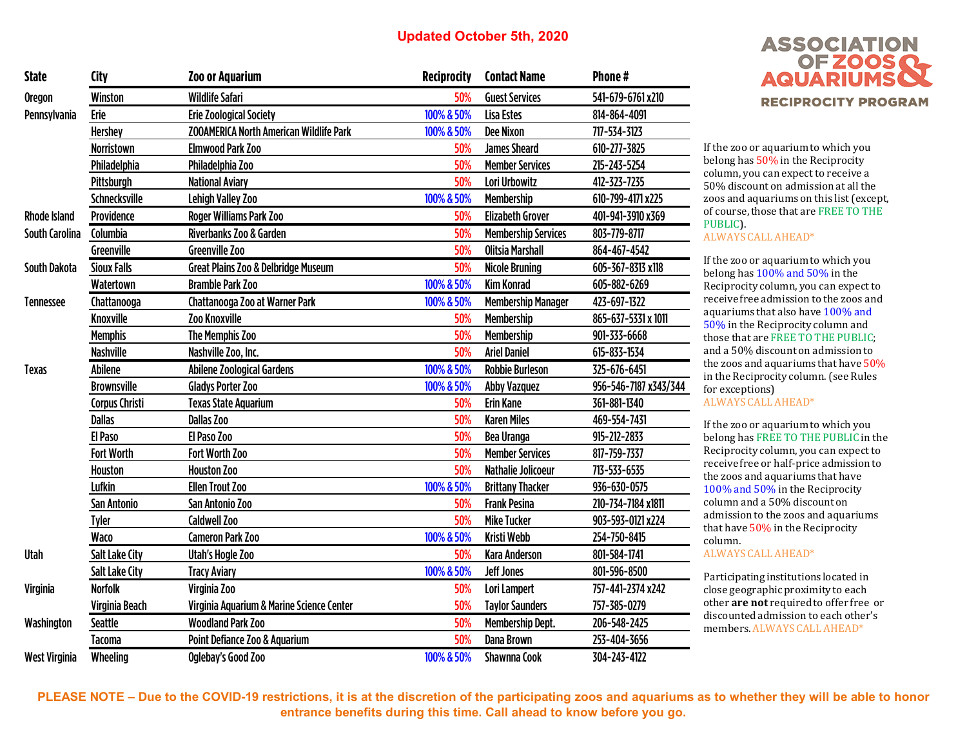| <b>State</b>          | City                  | <b>Zoo or Aquarium</b>                         | <b>Reciprocity</b> | <b>Contact Name</b>                                                                                                                                                                                                                                                                                                                                                                                                                                                                                                                                                                                                                                                                                                                                                                                                            | Phone#              |
|-----------------------|-----------------------|------------------------------------------------|--------------------|--------------------------------------------------------------------------------------------------------------------------------------------------------------------------------------------------------------------------------------------------------------------------------------------------------------------------------------------------------------------------------------------------------------------------------------------------------------------------------------------------------------------------------------------------------------------------------------------------------------------------------------------------------------------------------------------------------------------------------------------------------------------------------------------------------------------------------|---------------------|
| <b>Oregon</b>         | Winston               | <b>Wildlife Safari</b>                         | 50%                | <b>Guest Services</b>                                                                                                                                                                                                                                                                                                                                                                                                                                                                                                                                                                                                                                                                                                                                                                                                          | 541-679-6761 x210   |
| Pennsylvania          | Erie                  | <b>Erie Zoological Society</b>                 | 100% & 50%         | Lisa Estes                                                                                                                                                                                                                                                                                                                                                                                                                                                                                                                                                                                                                                                                                                                                                                                                                     | 814-864-4091        |
|                       | <b>Hershey</b>        | <b>ZOOAMERICA North American Wildlife Park</b> | 100% & 50%         | <b>Dee Nixon</b>                                                                                                                                                                                                                                                                                                                                                                                                                                                                                                                                                                                                                                                                                                                                                                                                               | 717-534-3123        |
|                       | Norristown            | <b>Elmwood Park Zoo</b>                        | 50%                | <b>James Sheard</b>                                                                                                                                                                                                                                                                                                                                                                                                                                                                                                                                                                                                                                                                                                                                                                                                            | 610-277-3825        |
|                       | Philadelphia          | Philadelphia Zoo                               | 50%                | <b>Member Services</b>                                                                                                                                                                                                                                                                                                                                                                                                                                                                                                                                                                                                                                                                                                                                                                                                         | 215-243-5254        |
|                       | Pittsburgh            | <b>National Aviary</b>                         | 50%                | Lori Urbowitz                                                                                                                                                                                                                                                                                                                                                                                                                                                                                                                                                                                                                                                                                                                                                                                                                  | 412-323-7235        |
|                       | Schnecksville         | Lehigh Valley Zoo                              | 100% & 50%         | Membership                                                                                                                                                                                                                                                                                                                                                                                                                                                                                                                                                                                                                                                                                                                                                                                                                     | 610-799-4171 x225   |
| <b>Rhode Island</b>   | Providence            | Roger Williams Park Zoo                        | 50%                | <b>Elizabeth Grover</b>                                                                                                                                                                                                                                                                                                                                                                                                                                                                                                                                                                                                                                                                                                                                                                                                        | 401-941-3910 x369   |
| <b>South Carolina</b> | Columbia              | Riverbanks Zoo & Garden                        | 50%                | <b>Membership Services</b>                                                                                                                                                                                                                                                                                                                                                                                                                                                                                                                                                                                                                                                                                                                                                                                                     | 803-779-8717        |
|                       | Greenville            | <b>Greenville Zoo</b>                          | 50%                | <b>Olitsia Marshall</b>                                                                                                                                                                                                                                                                                                                                                                                                                                                                                                                                                                                                                                                                                                                                                                                                        | 864-467-4542        |
| <b>South Dakota</b>   | <b>Sioux Falls</b>    | Great Plains Zoo & Delbridge Museum            | 50%                | <b>Nicole Bruning</b>                                                                                                                                                                                                                                                                                                                                                                                                                                                                                                                                                                                                                                                                                                                                                                                                          | 605-367-8313 x118   |
|                       | Watertown             | <b>Bramble Park Zoo</b>                        | 100% & 50%         | <b>Kim Konrad</b>                                                                                                                                                                                                                                                                                                                                                                                                                                                                                                                                                                                                                                                                                                                                                                                                              | 605-882-6269        |
| <b>Tennessee</b>      | Chattanooga           | Chattanooga Zoo at Warner Park                 | 100% & 50%         | <b>Membership Manager</b>                                                                                                                                                                                                                                                                                                                                                                                                                                                                                                                                                                                                                                                                                                                                                                                                      | 423-697-1322        |
|                       | Knoxville             | <b>Zoo Knoxville</b>                           | 50%                | Membership                                                                                                                                                                                                                                                                                                                                                                                                                                                                                                                                                                                                                                                                                                                                                                                                                     | 865-637-5331 x 1011 |
|                       | <b>Memphis</b>        | The Memphis Zoo                                | 50%                | <b>Membership</b>                                                                                                                                                                                                                                                                                                                                                                                                                                                                                                                                                                                                                                                                                                                                                                                                              | 901-333-6668        |
|                       | <b>Nashville</b>      | Nashville Zoo, Inc.                            | 50%                | <b>Ariel Daniel</b>                                                                                                                                                                                                                                                                                                                                                                                                                                                                                                                                                                                                                                                                                                                                                                                                            | 615-833-1534        |
| <b>Texas</b>          | <b>Abilene</b>        | Abilene Zoological Gardens                     | 100% & 50%         | <b>Robbie Burleson</b><br>325-676-6451<br>956-546-7187 x343/344<br><b>Abby Vazquez</b><br><b>Erin Kane</b><br>361-881-1340<br>50%<br>50%<br><b>Karen Miles</b><br>469-554-7431<br>50%<br>Bea Uranga<br>915-212-2833<br>50%<br><b>Member Services</b><br>817-759-7337<br>50%<br>713-533-6535<br><b>Nathalie Jolicoeur</b><br><b>Brittany Thacker</b><br>936-630-0575<br>50%<br><b>Frank Pesina</b><br>210-734-7184 x1811<br>50%<br><b>Mike Tucker</b><br>903-593-0121 x224<br><b>Kristi Webb</b><br>254-750-8415<br>801-584-1741<br>50%<br><b>Kara Anderson</b><br><b>Jeff Jones</b><br>801-596-8500<br>Lori Lampert<br>757-441-2374 x242<br>50%<br>50%<br><b>Taylor Saunders</b><br>757-385-0279<br><b>Membership Dept.</b><br>50%<br>206-548-2425<br>50%<br><b>Dana Brown</b><br>253-404-3656<br>Shawnna Cook<br>304-243-4122 |                     |
|                       | <b>Brownsville</b>    | <b>Gladys Porter Zoo</b>                       | 100% & 50%         |                                                                                                                                                                                                                                                                                                                                                                                                                                                                                                                                                                                                                                                                                                                                                                                                                                |                     |
|                       | <b>Corpus Christi</b> | <b>Texas State Aquarium</b>                    |                    |                                                                                                                                                                                                                                                                                                                                                                                                                                                                                                                                                                                                                                                                                                                                                                                                                                |                     |
|                       | <b>Dallas</b>         | <b>Dallas Zoo</b>                              |                    |                                                                                                                                                                                                                                                                                                                                                                                                                                                                                                                                                                                                                                                                                                                                                                                                                                |                     |
|                       | El Paso               | El Paso Zoo                                    |                    |                                                                                                                                                                                                                                                                                                                                                                                                                                                                                                                                                                                                                                                                                                                                                                                                                                |                     |
|                       | <b>Fort Worth</b>     | Fort Worth Zoo                                 |                    |                                                                                                                                                                                                                                                                                                                                                                                                                                                                                                                                                                                                                                                                                                                                                                                                                                |                     |
|                       | Houston               | <b>Houston Zoo</b>                             |                    |                                                                                                                                                                                                                                                                                                                                                                                                                                                                                                                                                                                                                                                                                                                                                                                                                                |                     |
|                       | Lufkin                | <b>Ellen Trout Zoo</b>                         | 100% & 50%         |                                                                                                                                                                                                                                                                                                                                                                                                                                                                                                                                                                                                                                                                                                                                                                                                                                |                     |
|                       | San Antonio           | San Antonio Zoo                                |                    |                                                                                                                                                                                                                                                                                                                                                                                                                                                                                                                                                                                                                                                                                                                                                                                                                                |                     |
|                       | <b>Tyler</b>          | <b>Caldwell Zoo</b>                            |                    |                                                                                                                                                                                                                                                                                                                                                                                                                                                                                                                                                                                                                                                                                                                                                                                                                                |                     |
|                       | Waco                  | <b>Cameron Park Zoo</b>                        | 100% & 50%         |                                                                                                                                                                                                                                                                                                                                                                                                                                                                                                                                                                                                                                                                                                                                                                                                                                |                     |
| <b>Utah</b>           | <b>Salt Lake City</b> | Utah's Hogle Zoo                               |                    |                                                                                                                                                                                                                                                                                                                                                                                                                                                                                                                                                                                                                                                                                                                                                                                                                                |                     |
|                       | Salt Lake City        | <b>Tracy Aviary</b>                            | 100% & 50%         |                                                                                                                                                                                                                                                                                                                                                                                                                                                                                                                                                                                                                                                                                                                                                                                                                                |                     |
| <b>Virginia</b>       | <b>Norfolk</b>        | Virginia Zoo                                   |                    |                                                                                                                                                                                                                                                                                                                                                                                                                                                                                                                                                                                                                                                                                                                                                                                                                                |                     |
|                       | Virginia Beach        | Virginia Aquarium & Marine Science Center      |                    |                                                                                                                                                                                                                                                                                                                                                                                                                                                                                                                                                                                                                                                                                                                                                                                                                                |                     |
| Washington            | <b>Seattle</b>        | <b>Woodland Park Zoo</b>                       |                    |                                                                                                                                                                                                                                                                                                                                                                                                                                                                                                                                                                                                                                                                                                                                                                                                                                |                     |
|                       | <b>Tacoma</b>         | Point Defiance Zoo & Aquarium                  |                    |                                                                                                                                                                                                                                                                                                                                                                                                                                                                                                                                                                                                                                                                                                                                                                                                                                |                     |
| <b>West Virginia</b>  | Wheeling              | Oglebay's Good Zoo                             | 100% & 50%         |                                                                                                                                                                                                                                                                                                                                                                                                                                                                                                                                                                                                                                                                                                                                                                                                                                |                     |



If the zoo or aquarium to which you belong has 50% in the Reciprocity column, you can expect to receive a 50% discount on admission at all the zoos and aquariums on this list (except, of course, those that are FREE TO THE PUBLIC).

#### ALWAYS CALL AHEAD\*

If the zoo or aquarium to which you belong has 100% and 50% in the Reciprocity column, you can expect to receive free admission to the zoos and aquariums that also have 100% and 50% in the Reciprocity column and those that are FREE TO THE PUBLIC; and a 50% discount on admission to the zoos and aquariums that have 50% in the Reciprocity column. (see Rules for exceptions)

ALWAYS CALL AHEAD\*

If the zoo or aquarium to which you belong has FREE TO THE PUBLIC in the Reciprocity column, you can expect to receive free or half-price admission to the zoos and aquariums that have 100% and 50% in the Reciprocity column and a 50% discount on admission to the zoos and aquariums that have 50% in the Reciprocity column.

ALWAYS CALL AHEAD\*

Participating institutions located in close geographic proximity to each other **are not** required to offer free or discounted admission to each other's members. ALWAYS CALL AHEAD\*